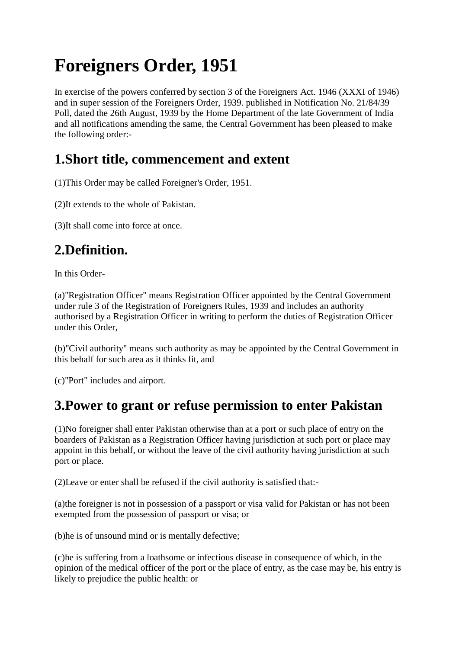# **Foreigners Order, 1951**

In exercise of the powers conferred by section 3 of the Foreigners Act. 1946 (XXXI of 1946) and in super session of the Foreigners Order, 1939. published in Notification No. 21/84/39 Poll, dated the 26th August, 1939 by the Home Department of the late Government of India and all notifications amending the same, the Central Government has been pleased to make the following order:-

#### **1.Short title, commencement and extent**

(1)This Order may be called Foreigner's Order, 1951.

(2)It extends to the whole of Pakistan.

(3)It shall come into force at once.

### **2.Definition.**

In this Order-

(a)"Registration Officer" means Registration Officer appointed by the Central Government under rule 3 of the Registration of Foreigners Rules, 1939 and includes an authority authorised by a Registration Officer in writing to perform the duties of Registration Officer under this Order,

(b)"Civil authority" means such authority as may be appointed by the Central Government in this behalf for such area as it thinks fit, and

(c)"Port" includes and airport.

#### **3.Power to grant or refuse permission to enter Pakistan**

(1)No foreigner shall enter Pakistan otherwise than at a port or such place of entry on the boarders of Pakistan as a Registration Officer having jurisdiction at such port or place may appoint in this behalf, or without the leave of the civil authority having jurisdiction at such port or place.

(2)Leave or enter shall be refused if the civil authority is satisfied that:-

(a)the foreigner is not in possession of a passport or visa valid for Pakistan or has not been exempted from the possession of passport or visa; or

(b)he is of unsound mind or is mentally defective;

(c)he is suffering from a loathsome or infectious disease in consequence of which, in the opinion of the medical officer of the port or the place of entry, as the case may be, his entry is likely to prejudice the public health: or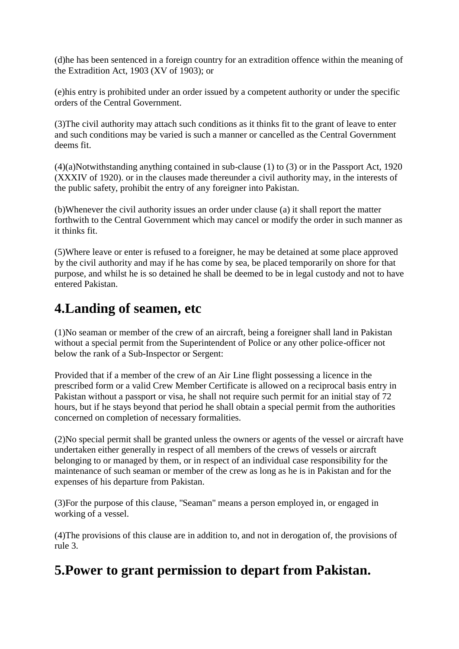(d)he has been sentenced in a foreign country for an extradition offence within the meaning of the Extradition Act, 1903 (XV of 1903); or

(e)his entry is prohibited under an order issued by a competent authority or under the specific orders of the Central Government.

(3)The civil authority may attach such conditions as it thinks fit to the grant of leave to enter and such conditions may be varied is such a manner or cancelled as the Central Government deems fit.

(4)(a)Notwithstanding anything contained in sub-clause (1) to (3) or in the Passport Act, 1920 (XXXIV of 1920). or in the clauses made thereunder a civil authority may, in the interests of the public safety, prohibit the entry of any foreigner into Pakistan.

(b)Whenever the civil authority issues an order under clause (a) it shall report the matter forthwith to the Central Government which may cancel or modify the order in such manner as it thinks fit.

(5)Where leave or enter is refused to a foreigner, he may be detained at some place approved by the civil authority and may if he has come by sea, be placed temporarily on shore for that purpose, and whilst he is so detained he shall be deemed to be in legal custody and not to have entered Pakistan.

#### **4.Landing of seamen, etc**

(1)No seaman or member of the crew of an aircraft, being a foreigner shall land in Pakistan without a special permit from the Superintendent of Police or any other police-officer not below the rank of a Sub-Inspector or Sergent:

Provided that if a member of the crew of an Air Line flight possessing a licence in the prescribed form or a valid Crew Member Certificate is allowed on a reciprocal basis entry in Pakistan without a passport or visa, he shall not require such permit for an initial stay of 72 hours, but if he stays beyond that period he shall obtain a special permit from the authorities concerned on completion of necessary formalities.

(2)No special permit shall be granted unless the owners or agents of the vessel or aircraft have undertaken either generally in respect of all members of the crews of vessels or aircraft belonging to or managed by them, or in respect of an individual case responsibility for the maintenance of such seaman or member of the crew as long as he is in Pakistan and for the expenses of his departure from Pakistan.

(3)For the purpose of this clause, "Seaman" means a person employed in, or engaged in working of a vessel.

(4)The provisions of this clause are in addition to, and not in derogation of, the provisions of rule 3.

#### **5.Power to grant permission to depart from Pakistan.**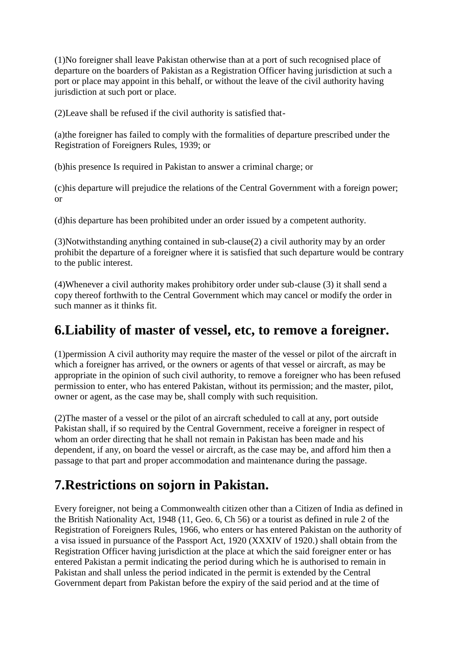(1)No foreigner shall leave Pakistan otherwise than at a port of such recognised place of departure on the boarders of Pakistan as a Registration Officer having jurisdiction at such a port or place may appoint in this behalf, or without the leave of the civil authority having jurisdiction at such port or place.

(2)Leave shall be refused if the civil authority is satisfied that-

(a)the foreigner has failed to comply with the formalities of departure prescribed under the Registration of Foreigners Rules, 1939; or

(b)his presence Is required in Pakistan to answer a criminal charge; or

(c)his departure will prejudice the relations of the Central Government with a foreign power; or

(d)his departure has been prohibited under an order issued by a competent authority.

(3)Notwithstanding anything contained in sub-clause(2) a civil authority may by an order prohibit the departure of a foreigner where it is satisfied that such departure would be contrary to the public interest.

(4)Whenever a civil authority makes prohibitory order under sub-clause (3) it shall send a copy thereof forthwith to the Central Government which may cancel or modify the order in such manner as it thinks fit.

#### **6.Liability of master of vessel, etc, to remove a foreigner.**

(1)permission A civil authority may require the master of the vessel or pilot of the aircraft in which a foreigner has arrived, or the owners or agents of that vessel or aircraft, as may be appropriate in the opinion of such civil authority, to remove a foreigner who has been refused permission to enter, who has entered Pakistan, without its permission; and the master, pilot, owner or agent, as the case may be, shall comply with such requisition.

(2)The master of a vessel or the pilot of an aircraft scheduled to call at any, port outside Pakistan shall, if so required by the Central Government, receive a foreigner in respect of whom an order directing that he shall not remain in Pakistan has been made and his dependent, if any, on board the vessel or aircraft, as the case may be, and afford him then a passage to that part and proper accommodation and maintenance during the passage.

## **7.Restrictions on sojorn in Pakistan.**

Every foreigner, not being a Commonwealth citizen other than a Citizen of India as defined in the British Nationality Act, 1948 (11, Geo. 6, Ch 56) or a tourist as defined in rule 2 of the Registration of Foreigners Rules, 1966, who enters or has entered Pakistan on the authority of a visa issued in pursuance of the Passport Act, 1920 (XXXIV of 1920.) shall obtain from the Registration Officer having jurisdiction at the place at which the said foreigner enter or has entered Pakistan a permit indicating the period during which he is authorised to remain in Pakistan and shall unless the period indicated in the permit is extended by the Central Government depart from Pakistan before the expiry of the said period and at the time of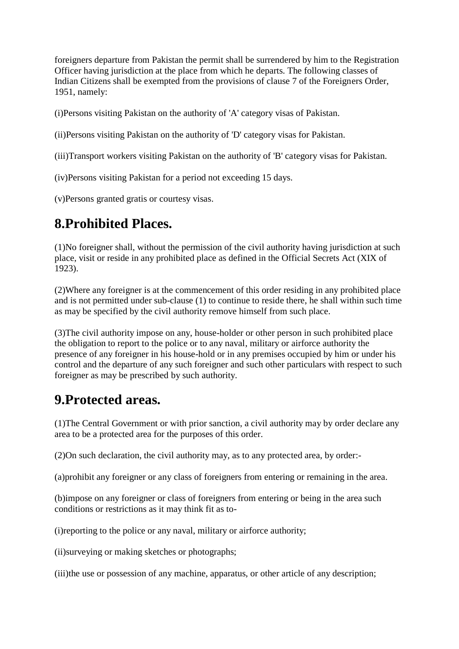foreigners departure from Pakistan the permit shall be surrendered by him to the Registration Officer having jurisdiction at the place from which he departs. The following classes of Indian Citizens shall be exempted from the provisions of clause 7 of the Foreigners Order, 1951, namely:

(i)Persons visiting Pakistan on the authority of 'A' category visas of Pakistan.

(ii)Persons visiting Pakistan on the authority of 'D' category visas for Pakistan.

(iii)Transport workers visiting Pakistan on the authority of 'B' category visas for Pakistan.

(iv)Persons visiting Pakistan for a period not exceeding 15 days.

(v)Persons granted gratis or courtesy visas.

#### **8.Prohibited Places.**

(1)No foreigner shall, without the permission of the civil authority having jurisdiction at such place, visit or reside in any prohibited place as defined in the Official Secrets Act (XIX of 1923).

(2)Where any foreigner is at the commencement of this order residing in any prohibited place and is not permitted under sub-clause (1) to continue to reside there, he shall within such time as may be specified by the civil authority remove himself from such place.

(3)The civil authority impose on any, house-holder or other person in such prohibited place the obligation to report to the police or to any naval, military or airforce authority the presence of any foreigner in his house-hold or in any premises occupied by him or under his control and the departure of any such foreigner and such other particulars with respect to such foreigner as may be prescribed by such authority.

#### **9.Protected areas.**

(1)The Central Government or with prior sanction, a civil authority may by order declare any area to be a protected area for the purposes of this order.

(2)On such declaration, the civil authority may, as to any protected area, by order:-

(a)prohibit any foreigner or any class of foreigners from entering or remaining in the area.

(b)impose on any foreigner or class of foreigners from entering or being in the area such conditions or restrictions as it may think fit as to-

(i)reporting to the police or any naval, military or airforce authority;

(ii)surveying or making sketches or photographs;

(iii)the use or possession of any machine, apparatus, or other article of any description;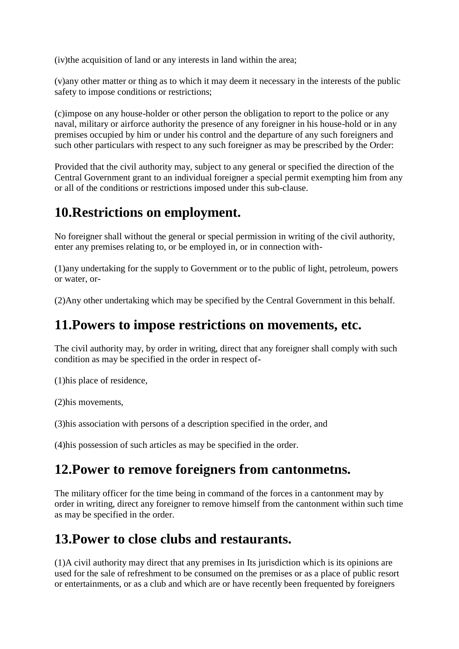(iv)the acquisition of land or any interests in land within the area;

(v)any other matter or thing as to which it may deem it necessary in the interests of the public safety to impose conditions or restrictions;

(c)impose on any house-holder or other person the obligation to report to the police or any naval, military or airforce authority the presence of any foreigner in his house-hold or in any premises occupied by him or under his control and the departure of any such foreigners and such other particulars with respect to any such foreigner as may be prescribed by the Order:

Provided that the civil authority may, subject to any general or specified the direction of the Central Government grant to an individual foreigner a special permit exempting him from any or all of the conditions or restrictions imposed under this sub-clause.

### **10.Restrictions on employment.**

No foreigner shall without the general or special permission in writing of the civil authority, enter any premises relating to, or be employed in, or in connection with-

(1)any undertaking for the supply to Government or to the public of light, petroleum, powers or water, or-

(2)Any other undertaking which may be specified by the Central Government in this behalf.

#### **11.Powers to impose restrictions on movements, etc.**

The civil authority may, by order in writing, direct that any foreigner shall comply with such condition as may be specified in the order in respect of-

(1)his place of residence,

(2)his movements,

(3)his association with persons of a description specified in the order, and

(4)his possession of such articles as may be specified in the order.

#### **12.Power to remove foreigners from cantonmetns.**

The military officer for the time being in command of the forces in a cantonment may by order in writing, direct any foreigner to remove himself from the cantonment within such time as may be specified in the order.

#### **13.Power to close clubs and restaurants.**

(1)A civil authority may direct that any premises in Its jurisdiction which is its opinions are used for the sale of refreshment to be consumed on the premises or as a place of public resort or entertainments, or as a club and which are or have recently been frequented by foreigners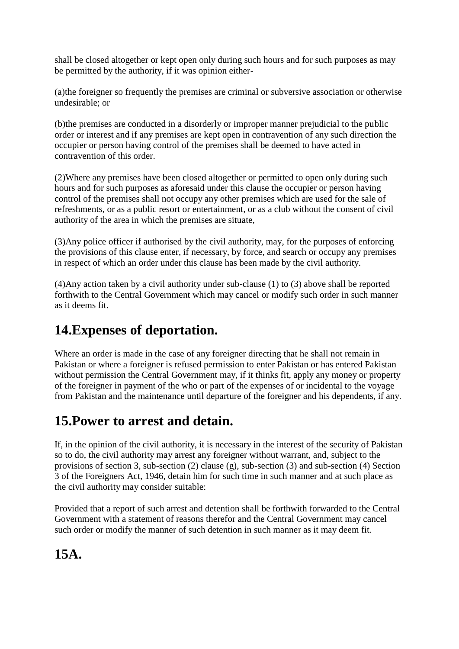shall be closed altogether or kept open only during such hours and for such purposes as may be permitted by the authority, if it was opinion either-

(a)the foreigner so frequently the premises are criminal or subversive association or otherwise undesirable; or

(b)the premises are conducted in a disorderly or improper manner prejudicial to the public order or interest and if any premises are kept open in contravention of any such direction the occupier or person having control of the premises shall be deemed to have acted in contravention of this order.

(2)Where any premises have been closed altogether or permitted to open only during such hours and for such purposes as aforesaid under this clause the occupier or person having control of the premises shall not occupy any other premises which are used for the sale of refreshments, or as a public resort or entertainment, or as a club without the consent of civil authority of the area in which the premises are situate,

(3)Any police officer if authorised by the civil authority, may, for the purposes of enforcing the provisions of this clause enter, if necessary, by force, and search or occupy any premises in respect of which an order under this clause has been made by the civil authority.

(4)Any action taken by a civil authority under sub-clause (1) to (3) above shall be reported forthwith to the Central Government which may cancel or modify such order in such manner as it deems fit.

## **14.Expenses of deportation.**

Where an order is made in the case of any foreigner directing that he shall not remain in Pakistan or where a foreigner is refused permission to enter Pakistan or has entered Pakistan without permission the Central Government may, if it thinks fit, apply any money or property of the foreigner in payment of the who or part of the expenses of or incidental to the voyage from Pakistan and the maintenance until departure of the foreigner and his dependents, if any.

## **15.Power to arrest and detain.**

If, in the opinion of the civil authority, it is necessary in the interest of the security of Pakistan so to do, the civil authority may arrest any foreigner without warrant, and, subject to the provisions of section 3, sub-section (2) clause (g), sub-section (3) and sub-section (4) Section 3 of the Foreigners Act, 1946, detain him for such time in such manner and at such place as the civil authority may consider suitable:

Provided that a report of such arrest and detention shall be forthwith forwarded to the Central Government with a statement of reasons therefor and the Central Government may cancel such order or modify the manner of such detention in such manner as it may deem fit.

#### **15A.**